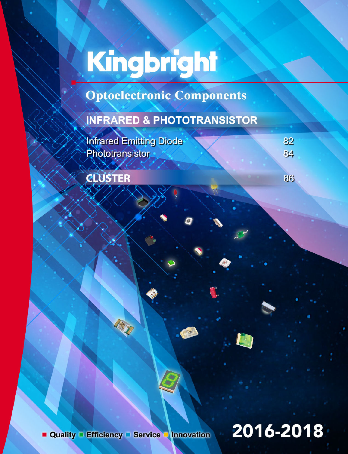# Kingbright

**Optoelectronic Components** 

### **INFRARED & PHOTOTRANSISTOR**

Infrared Emitting Diode Phototransistor

**CLUSTER** 

 $84$ 

86

82

Quality Efficiency Service Innovation

## 2016-2018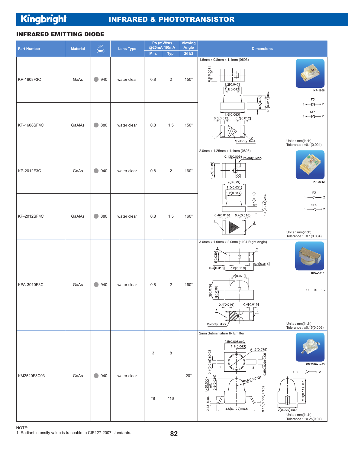Kingbright

#### INFRARED & PHOTOTRANSISTOR

#### INFRARED EMITTING DIODE

| <b>Part Number</b> | <b>Material</b> | $\lambda\textbf{P}$                 | <b>Lens Type</b> |      | Po (mW/sr)<br>@20mA *50mA | <b>Viewing</b><br>Angle | <b>Dimensions</b>                                                                                                                                                                                |                                                                                                    |
|--------------------|-----------------|-------------------------------------|------------------|------|---------------------------|-------------------------|--------------------------------------------------------------------------------------------------------------------------------------------------------------------------------------------------|----------------------------------------------------------------------------------------------------|
|                    |                 | (nm)                                |                  | Min. | Typ.                      | 201/2                   |                                                                                                                                                                                                  |                                                                                                    |
| KP-1608F3C         | GaAs            | $\bigcirc$ 940                      | water clear      | 0.8  | $\overline{c}$            | $150^\circ$             | 1.6mm x 0.8mm x 1.1mm (0603)<br>[150.03]<br>1.2[0.047]<br>1.1[0.043]<br>$1.1[0.043]$ Max.                                                                                                        | KP-1608<br>F3                                                                                      |
| KP-1608SF4C        | GaAlAs          | 880<br>$\blacksquare$               | water clear      | 0.8  | 1.5                       | $150^\circ$             | 0.5[0.02]<br>1.6[0.063]<br>0.3[0.012]<br>0.3[0.012]<br>Polarity Mark                                                                                                                             | $1 \longleftarrow 2$<br>SF4<br>$1 \rightarrow 2$<br>Units: mm(inch)<br>Tolerance: $\pm 0.1(0.004)$ |
| KP-2012F3C         | GaAs            | 940<br>$\qquad \qquad \blacksquare$ | water clear      | 0.8  | $\overline{2}$            | $160^\circ$             | 2.0mm x 1.25mm x 1.1mm (0805)<br>0.13(0.005) Polarity Mark<br>.25(0.049)<br>⊞<br>Ø<br>2(0.079)<br>1.3(0.051)<br>1.2(0.047)                                                                       | KP-2012<br>F3                                                                                      |
| KP-2012SF4C        | GaAlAs          | ● 880                               | water clear      | 0.8  | 1.5                       | $160^\circ$             | 25(0.02)<br>$1.1(0.043)$ Max.<br>0.4(0.016)<br>0.4(0.016)                                                                                                                                        | $\rightarrow$ 2<br>SF4<br>$1 \rightarrow 2$<br>Units: mm(inch)<br>Tolerance: $\pm 0.1(0.004)$      |
| KPA-3010F3C        | GaAs            | $\bigcirc$ 940                      | water clear      | 0.8  | $\overline{2}$            | $160^\circ$             | 3.0mm x 1.0mm x 2.0mm (1104 Right Angle)<br>[0.039]<br>[0.4[0.016]<br>3.0[0.118]<br>0.4[0.016]<br>2[0.079]<br>2[0.079]<br>[0.039]<br>0.4[0.016]<br>0.4[0.016]<br>$\overline{2}$<br>Polarity Mark | KPA-3010<br>$1 \leftarrow \leftarrow \leftarrow 2$<br>Units: mm(inch)<br>Tolerance: ±0.15(0.006)   |
| KM2520F3C03        | GaAs            | 940<br>$\qquad \qquad \blacksquare$ | water clear      | 3    | 8                         |                         | 2mm Subminiature IR Emitter<br>$2.5(0.098) \pm 0.1$<br>1.1(0.043)<br>$\phi$ 1.9(0.075)<br>$0.4(0.016) \pm 0.05$<br>$0.5(0.02) \pm 0.05$<br>1<br>$\overline{2}$                                   | KM2520xxx03<br>$\rightarrow$ 2<br>$1 - 0 -$                                                        |
|                    |                 |                                     |                  | *8   | $*16$                     | $20^{\circ}$            | $\left  \frac{\pm 0.1}{0.6(0.024)} \right $<br>RO.85[0.033]<br>4(0.055)<br>$0.15(0.006) \pm 0.02$<br>Max<br>0.13<br>$4.5(0.177) \pm 0.5$                                                         | $2.8(0.11) \pm 0.1$<br>$2(0.079) \pm 0.1$<br>Units: mm(inch)<br>Tolerance: $\pm 0.25(0.01)$        |

NOTE: 1. Radiant intensity value is traceable to CIE127-2007 standards.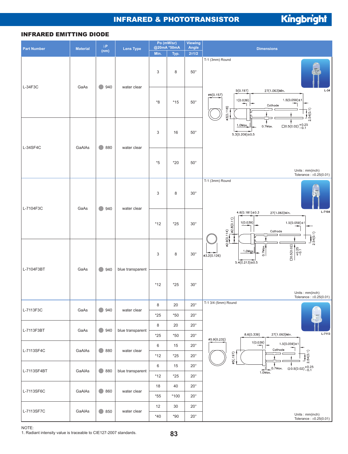#### INFRARED & PHOTOTRANSISTOR

Kingbright

#### INFRARED EMITTING DIODE

| <b>Part Number</b> | <b>Material</b> | $\lambda\textbf{P}$<br>(nm) | <b>Lens Type</b> | Po (mW/sr)<br>@20mA *50mA |               | <b>Viewing</b><br>Angle                                               | <b>Dimensions</b>                                                                                                                        |
|--------------------|-----------------|-----------------------------|------------------|---------------------------|---------------|-----------------------------------------------------------------------|------------------------------------------------------------------------------------------------------------------------------------------|
|                    |                 |                             |                  | Min.                      | 201/2<br>Typ. |                                                                       |                                                                                                                                          |
| L-34F3C            | GaAs            | 940<br>$\bullet$            | water clear      | 3                         | 8             | $50^{\circ}$                                                          | T-1 (3mm) Round                                                                                                                          |
|                    |                 |                             |                  | $*8$                      | $*15$         | $50^{\circ}$                                                          | $L-34$<br>5(0.197)<br>27(1.063)Min.<br>Ø4(0.157)<br>$1.5(0.059) \pm 1$<br>1(0.039)<br>Cathode<br>83(0.118)<br>2.54(0.1)                  |
| L-34SF4C<br>GaAlAs | $\bigcirc$ 880  | water clear                 | 3                | 16                        | $50^{\circ}$  | $\Box$ 0.5(0.02) + 0.25<br>1.0Max.<br>0.7Max.<br>$5.3(0.209) \pm 0.5$ |                                                                                                                                          |
|                    |                 |                             |                  | $^{\ast}5$                | $*20$         | $50^{\circ}$                                                          | Units: mm(inch)<br>Tolerance: $\pm 0.25(0.01)$                                                                                           |
| L-7104F3C          | GaAs            | 940<br>$\blacksquare$       | water clear      | 3                         | 8             | $30^{\circ}$                                                          | T-1 (3mm) Round                                                                                                                          |
|                    |                 |                             |                  | $*12$                     | $*25$         | $30^\circ$                                                            | L-7104<br>$4.6(0.181) \pm 0.3$<br>27(1.063) Min.<br>0.2.8(0.11)<br>$1.5(0.059) \pm 1$<br>1(0.039)<br>62.9(0.114)<br>Cathode<br>2.54(0.1) |
| L-7104F3BT<br>GaAs |                 | $\bullet$<br>940            | blue transparent | 3                         | 8             | $30^\circ$                                                            | $\frac{\square 0.5(0.02)}{+0.25}$<br>$0.7$ Max.<br>1.0M <sub>QX</sub><br>Ø3.2(0.126)<br>$5.4(0.213) \pm 0.5$                             |
|                    |                 |                             |                  | $*12$                     | $*25$         | $30^{\circ}$                                                          | Units: mm(inch)<br>Tolerance: $\pm 0.25(0.01)$                                                                                           |
| L-7113F3C          |                 |                             |                  | 8                         | 20            | $20^{\circ}$                                                          | T-1 3/4 (5mm) Round                                                                                                                      |
|                    | GaAs            | $\bullet$<br>940            | water clear      | $^{\star}25$              | $*50$         | $20^{\circ}$                                                          |                                                                                                                                          |
| L-7113F3BT         | GaAs            | $\bigcirc$ 940              | blue transparent | 8                         | 20            | $20^{\circ}$                                                          |                                                                                                                                          |
|                    |                 |                             |                  | $*25$                     | $*50$         | $20^{\circ}$                                                          | L-7113<br>8.6(0.339)<br>27(1.063) Min.<br>Ø5.9(0.232)                                                                                    |
| L-7113SF4C         | GaAlAs          | ● 880                       | water clear      | 6                         | 15            | $20^{\circ}$                                                          | 1(0.039)<br>$1.5(0.059) \pm 1$<br>Cathode                                                                                                |
|                    |                 |                             |                  | $*12$                     | $^{\star}25$  | $20^\circ$                                                            | 2.54(0.1)<br>(26(197))                                                                                                                   |
| L-7113SF4BT        | GaAlAs          | ● 880                       | blue transparent | 6                         | 15            | $20^{\circ}$                                                          | $\overline{0.5(0.02)}_{-0.1}^{+0.25}$<br>0.7Max.<br>$1.0$ Max.                                                                           |
|                    |                 |                             |                  | $*12$                     | $^{\star}25$  | $20^{\circ}$                                                          |                                                                                                                                          |
| L-7113SF6C         | GaAlAs          | $\bullet$ 860               | water clear      | 18<br>$*55$               | 40<br>$*100$  | $20^{\circ}$<br>$20^{\circ}$                                          |                                                                                                                                          |
|                    |                 |                             |                  | 12                        | 30            | $20^{\circ}$                                                          |                                                                                                                                          |
| L-7113SF7C         | GaAlAs          | $\bullet$ 850               | water clear      | $*40$                     | $*90$         | $20^{\circ}$                                                          | Units: mm(inch)<br>Tolerance: $\pm 0.25(0.01)$                                                                                           |

NOTE:

1. Radiant intensity value is traceable to CIE127-2007 standards.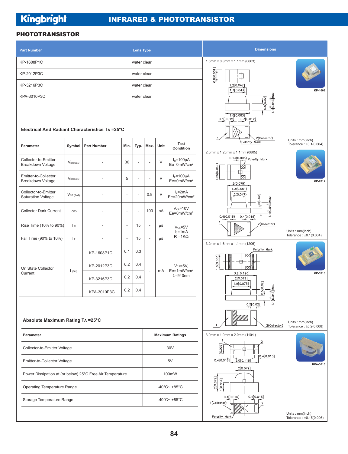#### PHOTOTRANSISTOR

| <b>Part Number</b><br><b>Lens Type</b>                    |                     |                    |                          |                                    |                                        |      |                                                        | <b>Dimensions</b>                                                                                    |                                                 |
|-----------------------------------------------------------|---------------------|--------------------|--------------------------|------------------------------------|----------------------------------------|------|--------------------------------------------------------|------------------------------------------------------------------------------------------------------|-------------------------------------------------|
| KP-1608P1C<br>water clear                                 |                     |                    |                          |                                    |                                        |      |                                                        | 1.6mm x 0.8mm x 1.1mm (0603)                                                                         |                                                 |
| KP-2012P3C<br>water clear                                 |                     |                    |                          |                                    |                                        |      |                                                        | 8[0.031]<br>申                                                                                        |                                                 |
| KP-3216P3C<br>water clear                                 |                     |                    |                          |                                    |                                        |      |                                                        | 1.2[0.047]<br>1.1[0.043]                                                                             | KP-1608                                         |
| KPA-3010P3C                                               |                     |                    |                          | water clear                        |                                        |      |                                                        |                                                                                                      |                                                 |
| Electrical And Radiant Characteristics TA =25°C           |                     |                    |                          |                                    |                                        |      |                                                        | $1.1[0.043]$ Max<br>0.5[0.02]<br>1.6[0.063]<br>0.3[0.012]<br>$0.\overline{3}[0.012]$<br>2(Collector) |                                                 |
| <b>Parameter</b>                                          | Symbol              | <b>Part Number</b> | Min.                     | Typ.                               | Max.                                   | Unit | <b>Test</b><br>Condition                               | Polarity Mark<br>2.0mm x 1.25mm x 1.1mm (0805)                                                       | Units: mm(inch)<br>Tolerance: $\pm 0.1(0.004)$  |
| Collector-to-Emitter<br><b>Breakdown Voltage</b>          | <b>VBR CEO</b>      |                    | 30                       | $\overline{\phantom{a}}$           | $\overline{\phantom{a}}$               | V    | $I_c = 100 \mu A$<br>Ee=0mW/cm <sup>2</sup>            | 0.13(0.005) Polarity Mark<br>25(0.049)<br>Ø<br>Η                                                     |                                                 |
| Emitter-to-Collector<br><b>Breakdown Voltage</b>          | <b>VBRECO</b>       |                    | 5                        | ٠                                  | $\overline{\phantom{a}}$               | V    | $I_F = 100 \mu A$<br>$Ee = 0$ mW/cm <sup>2</sup>       | iza<br>2(0.079)                                                                                      | KP-2012                                         |
| Collector-to-Emitter<br><b>Saturation Voltage</b>         | $V_{CE (SAT)}$      |                    | $\overline{a}$           | $\overline{\phantom{a}}$           | 0.8                                    | V    | $Ic=2mA$<br>Ee=20mW/cm <sup>2</sup>                    | 1.3(0.051)<br>1.2(0.047)<br>0.5(0.02)                                                                |                                                 |
| <b>Collector Dark Current</b>                             | ICEO                |                    | $\overline{a}$           | $\overline{\phantom{a}}$           | 100                                    | nA   | $V_{CE} = 10V$<br>Ee=0mW/cm <sup>2</sup>               | $1.1(0.043)$ Max<br>0.4(0.016)<br>0.4(0.016)                                                         |                                                 |
| Rise Time (10% to 90%)                                    | $T_R$               |                    | $\overline{a}$           | 15                                 | $\overline{\phantom{a}}$               | μS   | $Vce = 5V$<br>$Ic=1mA$                                 | 2(Collector)                                                                                         | Units: mm(inch)                                 |
| Fall Time (90% to 10%)                                    | $T_{\rm F}$         | ٠                  | $\overline{\phantom{a}}$ | 15                                 | $\overline{\phantom{a}}$               | μS   | $R_L = 1K\Omega$                                       | 3.2mm x 1.6mm x 1.1mm (1206)                                                                         | Tolerance: $\pm 0.1(0.004)$                     |
| On State Collector<br>Current                             | $\mathsf{I}_{(ON)}$ | KP-1608P1C         | 0.1                      | 0.3                                | 0.4<br>$\overline{\phantom{a}}$<br>0.4 | mA   | $V_{CE} = 5V$ ,<br>$Ee=1mW/cm^2$<br>$\lambda = 940$ nm | Polarity Mark<br>V                                                                                   |                                                 |
|                                                           |                     | KP-2012P3C         | 0.2                      |                                    |                                        |      |                                                        | 6[0.063]<br>冊<br>V,<br>3.2[0.126]                                                                    | KP-3216                                         |
|                                                           |                     | KP-3216P3C         | 0.2                      |                                    |                                        |      |                                                        | 2[0.079]<br>1.9[0.075]                                                                               |                                                 |
|                                                           |                     | KPA-3010P3C        | 0.2                      | 0.4                                |                                        |      |                                                        | 0.5[0.02]<br>043]Max.<br>1.1[0.                                                                      |                                                 |
|                                                           |                     |                    |                          |                                    |                                        |      |                                                        | 0.5[0.02]                                                                                            |                                                 |
| Absolute Maximum Rating TA = 25°C                         |                     |                    |                          |                                    |                                        |      |                                                        | 2(Collector)                                                                                         | Units: mm(inch)<br>Tolerance: $\pm 0.2(0.008)$  |
| Parameter                                                 |                     |                    |                          |                                    |                                        |      | <b>Maximum Ratings</b>                                 | 3.0mm x 1.0mm x 2.0mm (1104)                                                                         |                                                 |
| Collector-to-Emitter Voltage                              |                     |                    |                          |                                    |                                        |      | 30V                                                    | [0.039]<br>[0.4[0.016]                                                                               |                                                 |
| Emitter-to-Collector Voltage                              |                     |                    |                          |                                    |                                        | 5V   | 3.0[0.118]<br>0.4[0.016]                               | KPA-3010                                                                                             |                                                 |
| Power Dissipation at (or below) 25°C Free Air Temperature |                     |                    |                          | 100mW                              |                                        |      | 2[0.079]                                               |                                                                                                      |                                                 |
| <b>Operating Temperature Range</b>                        |                     |                    |                          | -40 $^{\circ}$ C~ +85 $^{\circ}$ C |                                        |      | 2[0.079]<br>[650.0]1                                   |                                                                                                      |                                                 |
| Storage Temperature Range                                 |                     |                    |                          |                                    |                                        |      | -40 $^{\circ}$ C~ +85 $^{\circ}$ C                     | 0.4[0.016]<br>0.4[0.016]<br>1(Collector)                                                             |                                                 |
|                                                           |                     |                    |                          |                                    |                                        |      |                                                        | Polarity Mark                                                                                        | Units: mm(inch)<br>Tolerance: $\pm 0.15(0.006)$ |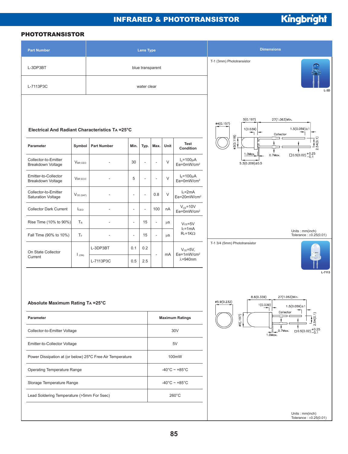#### INFRARED & PHOTOTRANSISTOR

Kingbright

#### PHOTOTRANSISTOR

| <b>Part Number</b>                                        | <b>Lens Type</b>                          |                    |                          |                                    |                          |         |                                                                                       | <b>Dimensions</b>                                                                                   |
|-----------------------------------------------------------|-------------------------------------------|--------------------|--------------------------|------------------------------------|--------------------------|---------|---------------------------------------------------------------------------------------|-----------------------------------------------------------------------------------------------------|
| L-3DP3BT<br>blue transparent                              |                                           |                    |                          |                                    |                          |         |                                                                                       | T-1 (3mm) Phototransistor                                                                           |
| L-7113P3C                                                 | water clear                               |                    |                          |                                    |                          |         |                                                                                       | $L-3D$                                                                                              |
| Electrical And Radiant Characteristics TA =25°C           |                                           |                    |                          |                                    |                          |         | 5(0.197)<br>27(1.063)Min.<br>ø4(0.157)<br>$1.5(0.059) \pm 1$<br>1(0.039)<br>Collector |                                                                                                     |
| Parameter                                                 | Symbol                                    | <b>Part Number</b> | Min.                     | Typ.                               | Max.                     | Unit    | Test<br>Condition                                                                     | $\frac{3(0.118)}{}$<br>.54(0.1)                                                                     |
| Collector-to-Emitter<br>Breakdown Voltage                 | <b>VBR CEO</b>                            | L,                 | 30                       | ÷,                                 | Ĭ.                       | $\vee$  | $I_c = 100 \mu A$<br>Ee=0mW/cm <sup>2</sup>                                           | $\Box$ 0.5(0.02) + 0.25<br>1.0Max.<br>$0.7$ Max.<br>$5.3(0.209) \pm 0.5$                            |
| Emitter-to-Collector<br>Breakdown Voltage                 | $\mathsf{V}_{\mathsf{BR}\, \mathsf{ECO}}$ |                    | 5                        | $\overline{a}$                     | ÷,                       | $\vee$  | $I_F = 100 \mu A$<br>$Ee = 0$ mW/cm <sup>2</sup>                                      |                                                                                                     |
| Collector-to-Emitter<br><b>Saturation Voltage</b>         | $V_{CE (SAT)}$                            |                    | $\overline{\phantom{a}}$ | ÷,                                 | 0.8                      | V       | $Ic=2mA$<br>Ee=20mW/cm <sup>2</sup>                                                   |                                                                                                     |
| <b>Collector Dark Current</b>                             | ICEO                                      | ÷,                 | $\overline{\phantom{a}}$ | ÷,                                 | 100                      | nA      | $V_{CE} = 10V$<br>Ee=0mW/cm <sup>2</sup>                                              |                                                                                                     |
| Rise Time (10% to 90%)                                    | TR                                        | $\overline{a}$     | $\overline{\phantom{a}}$ | 15                                 | $\overline{\phantom{a}}$ | $\mu$ S | $V_{CE} = 5V$<br>$Ic=1mA$                                                             |                                                                                                     |
| Fall Time (90% to 10%)                                    | ΤF                                        | L,                 | $\overline{a}$           | 15                                 | $\overline{\phantom{a}}$ | $\mu$ S | $R_L = 1K\Omega$                                                                      | Units: mm(inch)<br>Tolerance: $\pm 0.25(0.01)$                                                      |
| On State Collector<br>Current                             | $\mathsf{I}$ (ON)                         | L-3DP3BT           | 0.1                      | 0.2                                | $\overline{\phantom{a}}$ | mA      | $V_{CE} = 5V$ ,<br>$Ee=1mW/cm^2$<br>$\lambda = 940$ nm                                | T-1 3/4 (5mm) Phototransistor                                                                       |
|                                                           |                                           | L-7113P3C          | 0.5                      | 2.5                                |                          |         |                                                                                       |                                                                                                     |
| Absolute Maximum Rating TA = 25°C                         |                                           |                    |                          |                                    |                          |         |                                                                                       | L-7113<br>8.6(0.339)<br>27(1.063)Min.<br>Ø5.9(0.232)<br>1(0.039)<br>$1.5(0.059) \pm 1$<br>Collector |
| Parameter                                                 |                                           |                    |                          |                                    |                          |         | <b>Maximum Ratings</b>                                                                | 2.54(0.1)<br>$\phi$ 5(.197)                                                                         |
| Collector-to-Emitter Voltage                              |                                           |                    |                          |                                    |                          |         | 30V                                                                                   | $\Box$ 0.5(0.02) + 0.25<br>$0.7$ Max.<br>1.0Max.                                                    |
| Emitter-to-Collector Voltage                              |                                           |                    |                          |                                    |                          | 5V      |                                                                                       |                                                                                                     |
| Power Dissipation at (or below) 25°C Free Air Temperature |                                           |                    |                          | 100mW                              |                          |         |                                                                                       |                                                                                                     |
| Operating Temperature Range                               |                                           |                    |                          | $-40^{\circ}$ C ~ +85 $^{\circ}$ C |                          |         |                                                                                       |                                                                                                     |
| Storage Temperature Range                                 |                                           |                    |                          | $-40^{\circ}$ C ~ +85 $^{\circ}$ C |                          |         |                                                                                       |                                                                                                     |
| Lead Soldering Temperature (>5mm For 5sec)                |                                           |                    |                          |                                    | 260°C                    |         |                                                                                       |                                                                                                     |
|                                                           |                                           |                    |                          |                                    |                          |         |                                                                                       | Units: mm(inch)<br>Tolerance: $\pm 0.25(0.01)$                                                      |